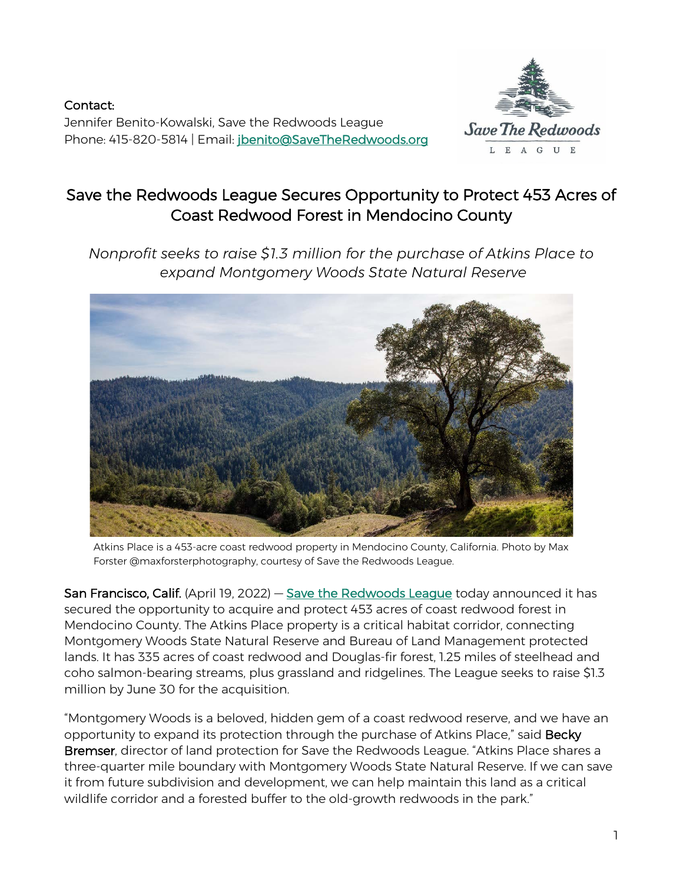Contact: Jennifer Benito-Kowalski, Save the Redwoods League Phone: 415-820-5814 | Email: [jbenito@SaveTheRedwoods.org](mailto:jbenito@SaveTheRedwoods.org)



# Save the Redwoods League Secures Opportunity to Protect 453 Acres of Coast Redwood Forest in Mendocino County

*Nonprofit seeks to raise \$1.3 million for the purchase of Atkins Place to expand Montgomery Woods State Natural Reserve*



Atkins Place is a 453-acre coast redwood property in Mendocino County, California. Photo by Max Forster @maxforsterphotography, courtesy of Save the Redwoods League.

San Francisco, Calif. (April 19, 2022) — [Save the Redwoods League](https://www.savetheredwoods.org/) today announced it has secured the opportunity to acquire and protect 453 acres of coast redwood forest in Mendocino County. The Atkins Place property is a critical habitat corridor, connecting Montgomery Woods State Natural Reserve and Bureau of Land Management protected lands. It has 335 acres of coast redwood and Douglas-fir forest, 1.25 miles of steelhead and coho salmon-bearing streams, plus grassland and ridgelines. The League seeks to raise \$1.3 million by June 30 for the acquisition.

"Montgomery Woods is a beloved, hidden gem of a coast redwood reserve, and we have an opportunity to expand its protection through the purchase of Atkins Place," said Becky Bremser, director of land protection for Save the Redwoods League. "Atkins Place shares a three-quarter mile boundary with Montgomery Woods State Natural Reserve. If we can save it from future subdivision and development, we can help maintain this land as a critical wildlife corridor and a forested buffer to the old-growth redwoods in the park."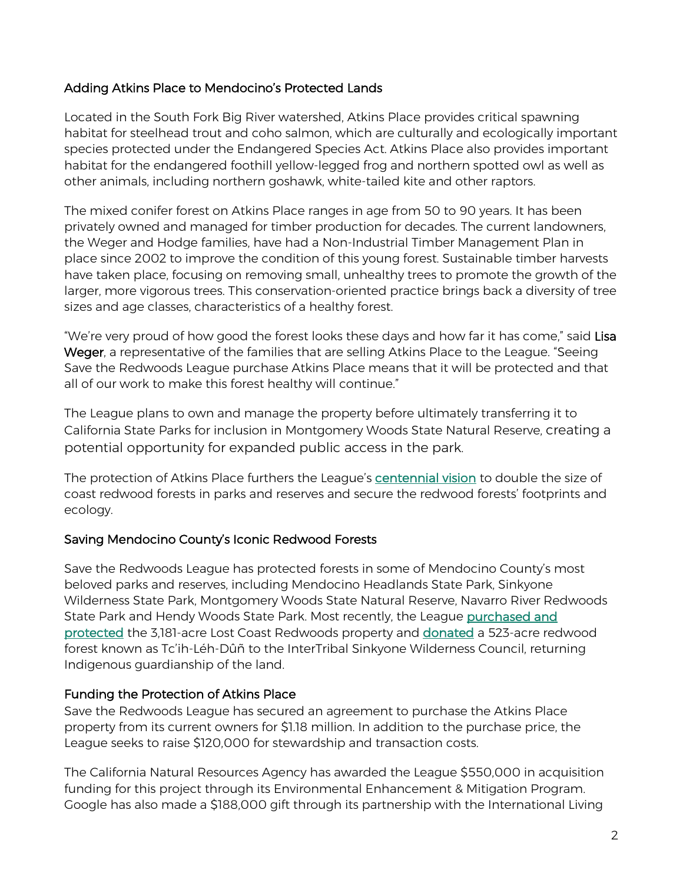## Adding Atkins Place to Mendocino's Protected Lands

Located in the South Fork Big River watershed, Atkins Place provides critical spawning habitat for steelhead trout and coho salmon, which are culturally and ecologically important species protected under the Endangered Species Act. Atkins Place also provides important habitat for the endangered foothill yellow-legged frog and northern spotted owl as well as other animals, including northern goshawk, white-tailed kite and other raptors.

The mixed conifer forest on Atkins Place ranges in age from 50 to 90 years. It has been privately owned and managed for timber production for decades. The current landowners, the Weger and Hodge families, have had a Non-Industrial Timber Management Plan in place since 2002 to improve the condition of this young forest. Sustainable timber harvests have taken place, focusing on removing small, unhealthy trees to promote the growth of the larger, more vigorous trees. This conservation-oriented practice brings back a diversity of tree sizes and age classes, characteristics of a healthy forest.

"We're very proud of how good the forest looks these days and how far it has come," said Lisa Weger, a representative of the families that are selling Atkins Place to the League. "Seeing Save the Redwoods League purchase Atkins Place means that it will be protected and that all of our work to make this forest healthy will continue."

The League plans to own and manage the property before ultimately transferring it to California State Parks for inclusion in Montgomery Woods State Natural Reserve, creating a potential opportunity for expanded public access in the park.

The protection of Atkins Place furthers the League's [centennial vision](https://www.savetheredwoods.org/100-years/next-100-years/) to double the size of coast redwood forests in parks and reserves and secure the redwood forests' footprints and ecology.

### Saving Mendocino County's Iconic Redwood Forests

Save the Redwoods League has protected forests in some of Mendocino County's most beloved parks and reserves, including Mendocino Headlands State Park, Sinkyone Wilderness State Park, Montgomery Woods State Natural Reserve, Navarro River Redwoods State Park and Hendy Woods State Park. Most recently, the League [purchased and](https://www.savetheredwoods.org/press-releases/league-buys-lost-coast-redwoods-the-longest-stretch-of-privately-owned-shoreline-in-the-coast-redwood-range/)  [protected](https://www.savetheredwoods.org/press-releases/league-buys-lost-coast-redwoods-the-longest-stretch-of-privately-owned-shoreline-in-the-coast-redwood-range/) the 3,181-acre Lost Coast Redwoods property and [donated](https://www.savetheredwoods.org/press-releases/523-acres-of-forestland-donated-to-intertribal-sinkyone-wilderness-council/) a 523-acre redwood forest known as Tc'ih-Léh-Dûñ to the InterTribal Sinkyone Wilderness Council, returning Indigenous guardianship of the land.

## Funding the Protection of Atkins Place

Save the Redwoods League has secured an agreement to purchase the Atkins Place property from its current owners for \$1.18 million. In addition to the purchase price, the League seeks to raise \$120,000 for stewardship and transaction costs.

The California Natural Resources Agency has awarded the League \$550,000 in acquisition funding for this project through its Environmental Enhancement & Mitigation Program. Google has also made a \$188,000 gift through its partnership with the International Living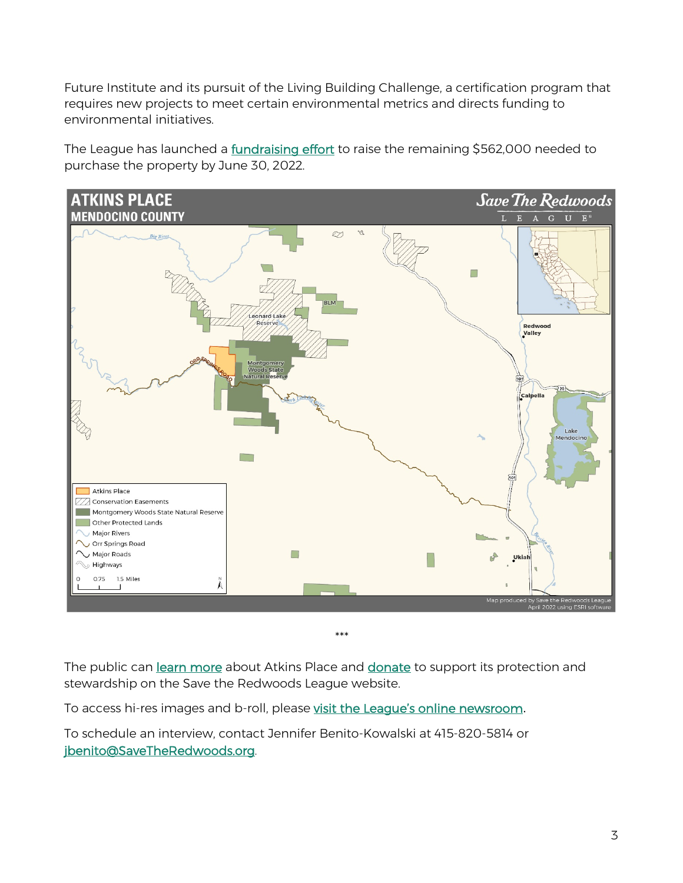Future Institute and its pursuit of the Living Building Challenge, a certification program that requires new projects to meet certain environmental metrics and directs funding to environmental initiatives.

The League has launched a **fundraising effort** to raise the remaining \$562,000 needed to purchase the property by June 30, 2022.



*\*\*\**

The public can [learn more](https://www.savetheredwoods.org/project/atkins-place/) about Atkins Place and [donate](https://www.savetheredwoods.org/atkins) to support its protection and stewardship on the Save the Redwoods League website.

To access hi-res images and b-roll, please [visit the League's online newsroom](https://www.savetheredwoods.org/about-us/newsroom/).

To schedule an interview, contact Jennifer Benito-Kowalski at 415-820-5814 or [jbenito@SaveTheRedwoods.org.](mailto:jbenito@SaveTheRedwoods.org)